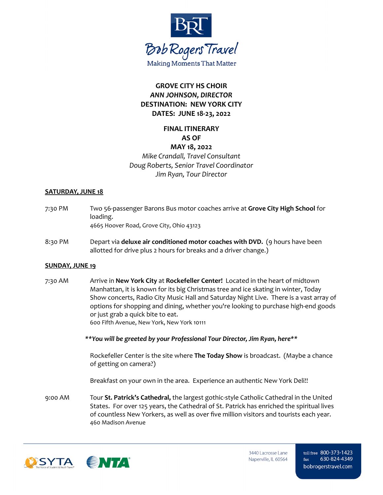

# **GROVE CITY HS CHOIR** *ANN JOHNSON, DIRECTOR* **DESTINATION: NEW YORK CITY DATES: JUNE 18-23, 2022**

# **FINAL ITINERARY AS OF**

### **MAY 18, 2022** *Mike Crandall, Travel Consultant Doug Roberts, Senior Travel Coordinator Jim Ryan, Tour Director*

#### **SATURDAY, JUNE 18**

- 7:30 PM Two 56-passenger Barons Bus motor coaches arrive at **Grove City High School** for loading. 4665 Hoover Road, Grove City, Ohio 43123
- 8:30 PM Depart via **deluxe air conditioned motor coaches with DVD.** (9 hours have been allotted for drive plus 2 hours for breaks and a driver change.)

#### **SUNDAY, JUNE 19**

7:30 AM Arrive in **New York City** at **Rockefeller Center!** Located in the heart of midtown Manhattan, it is known for its big Christmas tree and ice skating in winter, Today Show concerts, Radio City Music Hall and Saturday Night Live. There is a vast array of options for shopping and dining, whether you're looking to purchase high-end goods or just grab a quick bite to eat. 600 Fifth Avenue, New York, New York 10111

*\*\*You will be greeted by your Professional Tour Director, Jim Ryan, here\*\**

Rockefeller Center is the site where **The Today Show** is broadcast. (Maybe a chance of getting on camera?)

Breakfast on your own in the area. Experience an authentic New York Deli!!

9:00 AM Tour **St. Patrick's Cathedral,** the largest gothic-style Catholic Cathedral in the United States. For over 125 years, the Cathedral of St. Patrick has enriched the spiritual lives of countless New Yorkers, as well as over five million visitors and tourists each year. 460 Madison Avenue

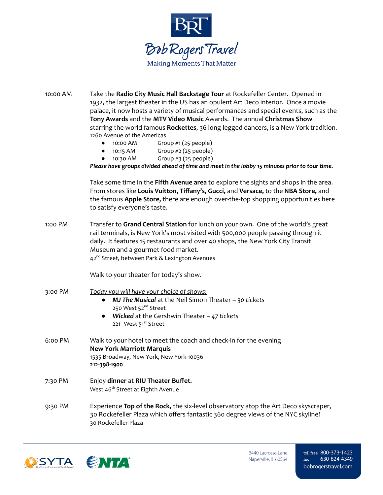

| 10:00 AM | Take the Radio City Music Hall Backstage Tour at Rockefeller Center. Opened in<br>1932, the largest theater in the US has an opulent Art Deco interior. Once a movie<br>palace, it now hosts a variety of musical performances and special events, such as the<br>Tony Awards and the MTV Video Music Awards. The annual Christmas Show<br>starring the world famous Rockettes, 36 long-legged dancers, is a New York tradition.<br>1260 Avenue of the Americas<br>Group #1 (25 people)<br>10:00 AM<br>Group $#2$ (25 people)<br>10:15 AM<br>$\bullet$<br>Group #3 (25 people)<br>10:30 AM<br>Please have groups divided ahead of time and meet in the lobby 15 minutes prior to tour time. |
|----------|---------------------------------------------------------------------------------------------------------------------------------------------------------------------------------------------------------------------------------------------------------------------------------------------------------------------------------------------------------------------------------------------------------------------------------------------------------------------------------------------------------------------------------------------------------------------------------------------------------------------------------------------------------------------------------------------|
|          | Take some time in the Fifth Avenue area to explore the sights and shops in the area.<br>From stores like Louis Vuitton, Tiffany's, Gucci, and Versace, to the NBA Store, and<br>the famous Apple Store, there are enough over-the-top shopping opportunities here<br>to satisfy everyone's taste.                                                                                                                                                                                                                                                                                                                                                                                           |
| 1:00 PM  | Transfer to Grand Central Station for lunch on your own. One of the world's great<br>rail terminals, is New York's most visited with 500,000 people passing through it<br>daily. It features 15 restaurants and over 40 shops, the New York City Transit<br>Museum and a gourmet food market.<br>42 <sup>nd</sup> Street, between Park & Lexington Avenues                                                                                                                                                                                                                                                                                                                                  |
|          | Walk to your theater for today's show.                                                                                                                                                                                                                                                                                                                                                                                                                                                                                                                                                                                                                                                      |
| 3:00 PM  | Today you will have your choice of shows:<br><b>MJ The Musical</b> at the Neil Simon Theater $-$ 30 tickets<br>$\bullet$<br>250 West 52 <sup>nd</sup> Street<br><b>Wicked</b> at the Gershwin Theater $-47$ tickets<br>221 West 51 <sup>st</sup> Street                                                                                                                                                                                                                                                                                                                                                                                                                                     |
| 6:00 PM  | Walk to your hotel to meet the coach and check-in for the evening<br><b>New York Marriott Marquis</b><br>1535 Broadway, New York, New York 10036<br>212-398-1900                                                                                                                                                                                                                                                                                                                                                                                                                                                                                                                            |
| 7:30 PM  | Enjoy dinner at RIU Theater Buffet.<br>West 46 <sup>th</sup> Street at Eighth Avenue                                                                                                                                                                                                                                                                                                                                                                                                                                                                                                                                                                                                        |
| 9:30 PM  | Experience Top of the Rock, the six-level observatory atop the Art Deco skyscraper,<br>30 Rockefeller Plaza which offers fantastic 360 degree views of the NYC skyline!<br>30 Rockefeller Plaza                                                                                                                                                                                                                                                                                                                                                                                                                                                                                             |



3440 Lacrosse Lane Naperville, IL 60564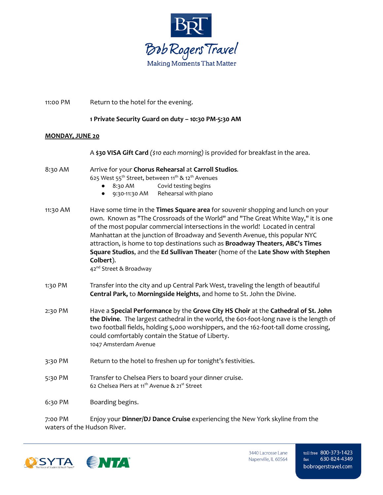

| 11:00 PM               | Return to the hotel for the evening.                                                                                                                                                                                                                                                                                                                                                                                                                                                                                                                       |  |
|------------------------|------------------------------------------------------------------------------------------------------------------------------------------------------------------------------------------------------------------------------------------------------------------------------------------------------------------------------------------------------------------------------------------------------------------------------------------------------------------------------------------------------------------------------------------------------------|--|
|                        | 1 Private Security Guard on duty - 10:30 PM-5:30 AM                                                                                                                                                                                                                                                                                                                                                                                                                                                                                                        |  |
| <b>MONDAY, JUNE 20</b> |                                                                                                                                                                                                                                                                                                                                                                                                                                                                                                                                                            |  |
|                        | A \$30 VISA Gift Card (\$10 each morning) is provided for breakfast in the area.                                                                                                                                                                                                                                                                                                                                                                                                                                                                           |  |
| 8:30 AM                | Arrive for your Chorus Rehearsal at Carroll Studios.<br>625 West 55 <sup>th</sup> Street, between 11 <sup>th</sup> & 12 <sup>th</sup> Avenues<br>Covid testing begins<br>8:30 AM<br>Rehearsal with piano<br>9:30-11:30 AM<br>$\bullet$                                                                                                                                                                                                                                                                                                                     |  |
| 11:30 AM               | Have some time in the Times Square area for souvenir shopping and lunch on your<br>own. Known as "The Crossroads of the World" and "The Great White Way," it is one<br>of the most popular commercial intersections in the world! Located in central<br>Manhattan at the junction of Broadway and Seventh Avenue, this popular NYC<br>attraction, is home to top destinations such as Broadway Theaters, ABC's Times<br>Square Studios, and the Ed Sullivan Theater (home of the Late Show with Stephen<br>Colbert).<br>42 <sup>nd</sup> Street & Broadway |  |
| 1:30 PM                | Transfer into the city and up Central Park West, traveling the length of beautiful<br>Central Park, to Morningside Heights, and home to St. John the Divine.                                                                                                                                                                                                                                                                                                                                                                                               |  |
| 2:30 PM                | Have a Special Performance by the Grove City HS Choir at the Cathedral of St. John<br>the Divine. The largest cathedral in the world, the 601-foot-long nave is the length of<br>two football fields, holding 5,000 worshippers, and the 162-foot-tall dome crossing,<br>could comfortably contain the Statue of Liberty.<br>1047 Amsterdam Avenue                                                                                                                                                                                                         |  |
| 3:30 PM                | Return to the hotel to freshen up for tonight's festivities.                                                                                                                                                                                                                                                                                                                                                                                                                                                                                               |  |
| 5:30 PM                | Transfer to Chelsea Piers to board your dinner cruise.<br>62 Chelsea Piers at 11 <sup>th</sup> Avenue & 21 <sup>st</sup> Street                                                                                                                                                                                                                                                                                                                                                                                                                            |  |
| 6:30 PM                | Boarding begins.                                                                                                                                                                                                                                                                                                                                                                                                                                                                                                                                           |  |

7:00 PM Enjoy your **Dinner/DJ Dance Cruise** experiencing the New York skyline from the waters of the Hudson River.



3440 Lacrosse Lane Naperville, IL 60564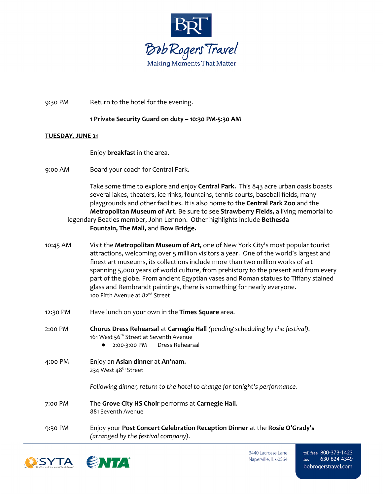

9:30 PM Return to the hotel for the evening.

### **1 Private Security Guard on duty – 10:30 PM-5:30 AM**

#### **TUESDAY, JUNE 21**

Enjoy **breakfast** in the area.

9:00 AM Board your coach for Central Park.

Take some time to explore and enjoy **Central Park.** This 843 acre urban oasis boasts several lakes, theaters, ice rinks, fountains, tennis courts, baseball fields, many playgrounds and other facilities. It is also home to the **Central Park Zoo** and the **Metropolitan Museum of Art**. Be sure to see **Strawberry Fields,** a living memorial to legendary Beatles member, John Lennon. Other highlights include **Bethesda Fountain, The Mall,** and **Bow Bridge.**

- 10:45 AM Visit the **Metropolitan Museum of Art,** one of New York City's most popular tourist attractions, welcoming over 5 million visitors a year. One of the world's largest and finest art museums, its collections include more than two million works of art spanning 5,000 years of world culture, from prehistory to the present and from every part of the globe. From ancient Egyptian vases and Roman statues to Tiffany stained glass and Rembrandt paintings, there is something for nearly everyone. 100 Fifth Avenue at 82<sup>nd</sup> Street
- 12:30 PM Have lunch on your own in the **Times Square** area.
- 2:00 PM **Chorus Dress Rehearsal** at **Carnegie Hall** *(pending scheduling by the festival).* 161 West 56<sup>th</sup> Street at Seventh Avenue ● 2:00-3:00 PM Dress Rehearsal
- 4:00 PM Enjoy an **Asian dinner** at **An'nam.** 234 West 48<sup>th</sup> Street

*Following dinner, return to the hotel to change for tonight's performance.*

- 7:00 PM The **Grove City HS Choir** performs at **Carnegie Hall***.* 881 Seventh Avenue
- 9:30 PM Enjoy your **Post Concert Celebration Reception Dinner** at the **Rosie O'Grady's** *(arranged by the festival company).*



3440 Lacrosse Lane Naperville, IL 60564 toll free 800-373-1423 630-824-4349  $fax$ bobrogerstravel.com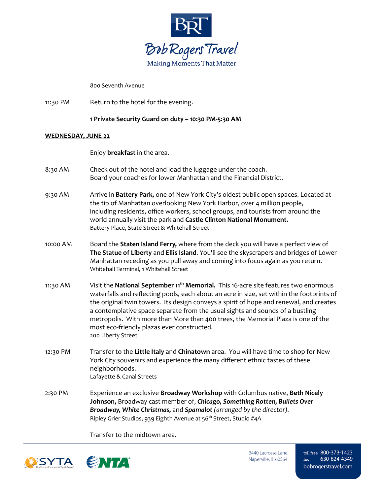

800 Seventh Avenue

11:30 PM Return to the hotel for the evening.

**1 Private Security Guard on duty – 10:30 PM-5:30 AM**

#### **WEDNESDAY, JUNE 22**

Enjoy **breakfast** in the area.

- 8:30 AM Check out of the hotel and load the luggage under the coach. Board your coaches for lower Manhattan and the Financial District.
- 9:30 AM Arrive in **Battery Park,** one of New York City's oldest public open spaces. Located at the tip of Manhattan overlooking New York Harbor, over 4 million people, including residents, office workers, school groups, and tourists from around the world annually visit the park and **Castle Clinton National Monument.** Battery Place, State Street & Whitehall Street
- 10:00 AM Board the **Staten Island Ferry,** where from the deck you will have a perfect view of **The Statue of Liberty** and **Ellis Island**. You'll see the skyscrapers and bridges of Lower Manhattan receding as you pull away and coming into focus again as you return. Whitehall Terminal, 1 Whitehall Street
- 11:30 AM Visit the **National September 11 th Memorial.** This 16-acre site features two enormous waterfalls and reflecting pools, each about an acre in size, set within the footprints of the original twin towers. Its design conveys a spirit of hope and renewal, and creates a contemplative space separate from the usual sights and sounds of a bustling metropolis. With more than More than 400 trees, the Memorial Plaza is one of the most eco-friendly plazas ever constructed. 200 Liberty Street
- 12:30 PM Transfer to the **Little Italy** and **Chinatown** area. You will have time to shop for New York City souvenirs and experience the many different ethnic tastes of these neighborhoods. Lafayette & Canal Streets
- 2:30 PM Experience an exclusive **Broadway Workshop** with Columbus native, **Beth Nicely Johnson,** Broadway cast member of, *Chicago, Something Rotten, Bullets Over Broadway, White Christmas,* and *Spamalot (arranged by the director).* Ripley Grier Studios, 939 Eighth Avenue at 56 th Street, Studio #4A

Transfer to the midtown area.



toll free 800-373-1423 630-824-4349  $fax$ bobrogerstravel.com